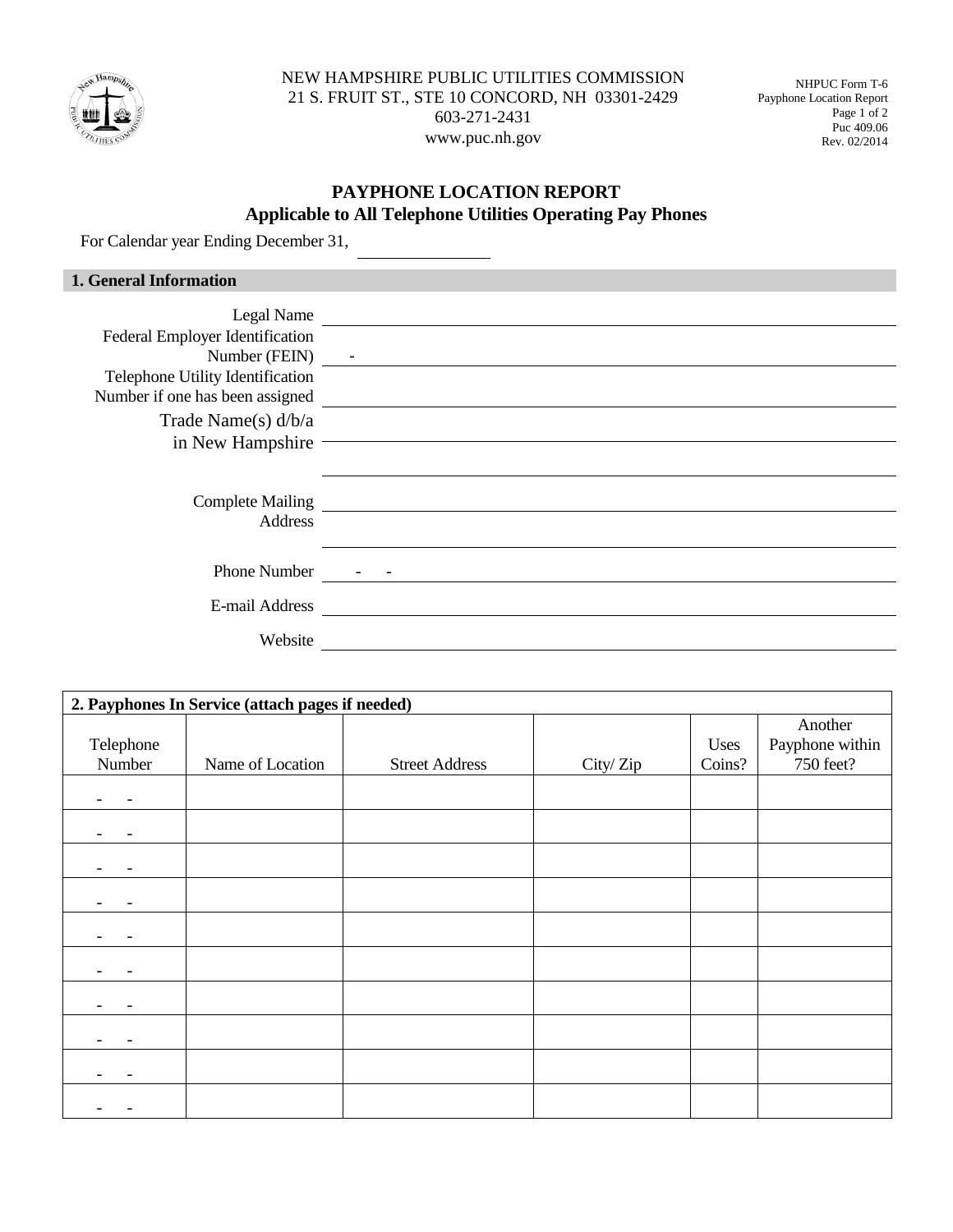

NEW HAMPSHIRE PUBLIC UTILITIES COMMISSION 21 S. FRUIT ST., STE 10 CONCORD, NH 03301-2429 603-271-2431 www.puc.nh.gov

NHPUC Form T-6 Payphone Location Report Page 1 of 2 Puc 409.06 Rev. 02/2014

## **PAYPHONE LOCATION REPORT Applicable to All Telephone Utilities Operating Pay Phones**

For Calendar year Ending December 31,

| <b>1. General Information</b>      |            |
|------------------------------------|------------|
|                                    | Legal Name |
| Federal Employer Identification    |            |
| Number (FEIN) -                    |            |
| Telephone Utility Identification   |            |
| Number if one has been assigned    |            |
| Trade Name(s) $d/b/a$              |            |
| in New Hampshire                   |            |
|                                    |            |
| Complete Mailing<br><u>Letting</u> |            |
| Address                            |            |
|                                    |            |
| <b>Phone Number</b>                |            |
| E-mail Address                     |            |
| Website                            |            |

| 2. Payphones In Service (attach pages if needed) |                  |                       |          |                |                                         |
|--------------------------------------------------|------------------|-----------------------|----------|----------------|-----------------------------------------|
| Telephone<br>Number                              | Name of Location | <b>Street Address</b> | City/Zip | Uses<br>Coins? | Another<br>Payphone within<br>750 feet? |
|                                                  |                  |                       |          |                |                                         |
|                                                  |                  |                       |          |                |                                         |
|                                                  |                  |                       |          |                |                                         |
|                                                  |                  |                       |          |                |                                         |
|                                                  |                  |                       |          |                |                                         |
|                                                  |                  |                       |          |                |                                         |
|                                                  |                  |                       |          |                |                                         |
|                                                  |                  |                       |          |                |                                         |
|                                                  |                  |                       |          |                |                                         |
|                                                  |                  |                       |          |                |                                         |